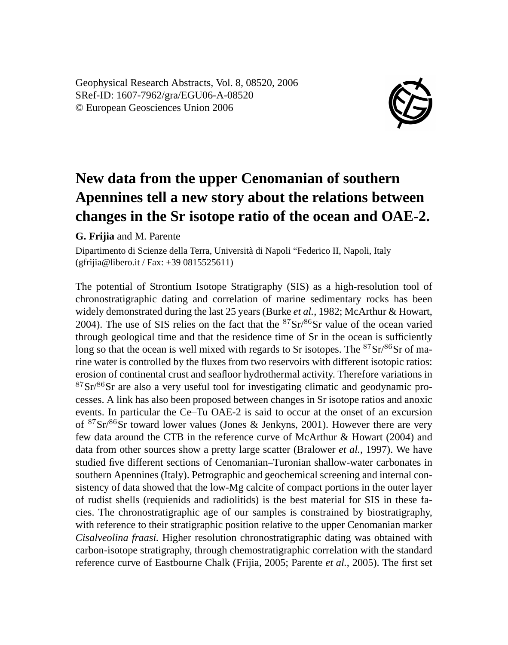Geophysical Research Abstracts, Vol. 8, 08520, 2006 SRef-ID: 1607-7962/gra/EGU06-A-08520 © European Geosciences Union 2006



## **New data from the upper Cenomanian of southern Apennines tell a new story about the relations between changes in the Sr isotope ratio of the ocean and OAE-2.**

## **G. Frijia** and M. Parente

Dipartimento di Scienze della Terra, Università di Napoli "Federico II, Napoli, Italy (gfrijia@libero.it / Fax: +39 0815525611)

The potential of Strontium Isotope Stratigraphy (SIS) as a high-resolution tool of chronostratigraphic dating and correlation of marine sedimentary rocks has been widely demonstrated during the last 25 years (Burke *et al.*, 1982; McArthur & Howart, 2004). The use of SIS relies on the fact that the  $87\text{Sr}/86\text{Sr}$  value of the ocean varied through geological time and that the residence time of Sr in the ocean is sufficiently long so that the ocean is well mixed with regards to Sr isotopes. The  $87Sr/86Sr$  of marine water is controlled by the fluxes from two reservoirs with different isotopic ratios: erosion of continental crust and seafloor hydrothermal activity. Therefore variations in  $87\text{Sr}/86\text{Sr}$  are also a very useful tool for investigating climatic and geodynamic processes. A link has also been proposed between changes in Sr isotope ratios and anoxic events. In particular the Ce–Tu OAE-2 is said to occur at the onset of an excursion of  ${}^{87}Sr/{}^{86}Sr$  toward lower values (Jones & Jenkyns, 2001). However there are very few data around the CTB in the reference curve of McArthur & Howart (2004) and data from other sources show a pretty large scatter (Bralower *et al.*, 1997). We have studied five different sections of Cenomanian–Turonian shallow-water carbonates in southern Apennines (Italy). Petrographic and geochemical screening and internal consistency of data showed that the low-Mg calcite of compact portions in the outer layer of rudist shells (requienids and radiolitids) is the best material for SIS in these facies. The chronostratigraphic age of our samples is constrained by biostratigraphy, with reference to their stratigraphic position relative to the upper Cenomanian marker *Cisalveolina fraasi.* Higher resolution chronostratigraphic dating was obtained with carbon-isotope stratigraphy, through chemostratigraphic correlation with the standard reference curve of Eastbourne Chalk (Frijia, 2005; Parente *et al.*, 2005). The first set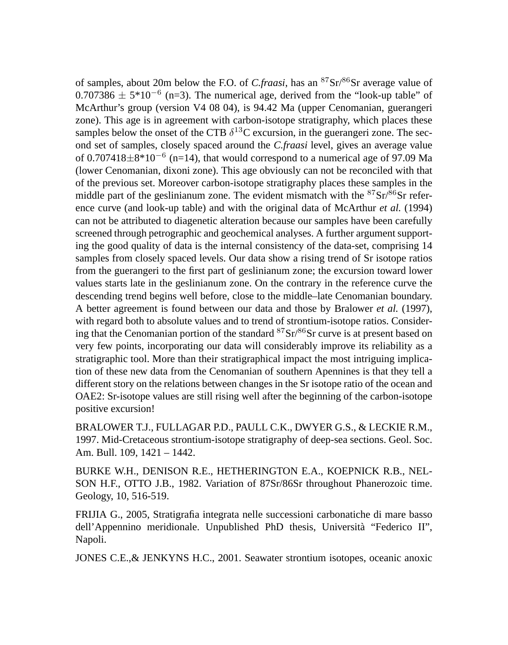of samples, about 20m below the F.O. of *C.fraasi*, has an <sup>87</sup>Sr/<sup>86</sup>Sr average value of 0.707386  $\pm$  5\*10<sup>-6</sup> (n=3). The numerical age, derived from the "look-up table" of McArthur's group (version V4 08 04), is 94.42 Ma (upper Cenomanian, guerangeri zone). This age is in agreement with carbon-isotope stratigraphy, which places these samples below the onset of the CTB  $\delta^{13}$ C excursion, in the guerangeri zone. The second set of samples, closely spaced around the *C.fraasi* level, gives an average value of 0.707418 $\pm$ 8\*10<sup>-6</sup> (n=14), that would correspond to a numerical age of 97.09 Ma (lower Cenomanian, dixoni zone). This age obviously can not be reconciled with that of the previous set. Moreover carbon-isotope stratigraphy places these samples in the middle part of the geslinianum zone. The evident mismatch with the  ${}^{87}Sr/{}^{86}Sr$  reference curve (and look-up table) and with the original data of McArthur *et al.* (1994) can not be attributed to diagenetic alteration because our samples have been carefully screened through petrographic and geochemical analyses. A further argument supporting the good quality of data is the internal consistency of the data-set, comprising 14 samples from closely spaced levels. Our data show a rising trend of Sr isotope ratios from the guerangeri to the first part of geslinianum zone; the excursion toward lower values starts late in the geslinianum zone. On the contrary in the reference curve the descending trend begins well before, close to the middle–late Cenomanian boundary. A better agreement is found between our data and those by Bralower *et al.* (1997), with regard both to absolute values and to trend of strontium-isotope ratios. Considering that the Cenomanian portion of the standard  ${}^{87}Sr/{}^{86}Sr$  curve is at present based on very few points, incorporating our data will considerably improve its reliability as a stratigraphic tool. More than their stratigraphical impact the most intriguing implication of these new data from the Cenomanian of southern Apennines is that they tell a different story on the relations between changes in the Sr isotope ratio of the ocean and OAE2: Sr-isotope values are still rising well after the beginning of the carbon-isotope positive excursion!

BRALOWER T.J., FULLAGAR P.D., PAULL C.K., DWYER G.S., & LECKIE R.M., 1997. Mid-Cretaceous strontium-isotope stratigraphy of deep-sea sections. Geol. Soc. Am. Bull. 109, 1421 – 1442.

BURKE W.H., DENISON R.E., HETHERINGTON E.A., KOEPNICK R.B., NEL-SON H.F., OTTO J.B., 1982. Variation of 87Sr/86Sr throughout Phanerozoic time. Geology, 10, 516-519.

FRIJIA G., 2005, Stratigrafia integrata nelle successioni carbonatiche di mare basso dell'Appennino meridionale. Unpublished PhD thesis, Università "Federico II", Napoli.

JONES C.E.,& JENKYNS H.C., 2001. Seawater strontium isotopes, oceanic anoxic